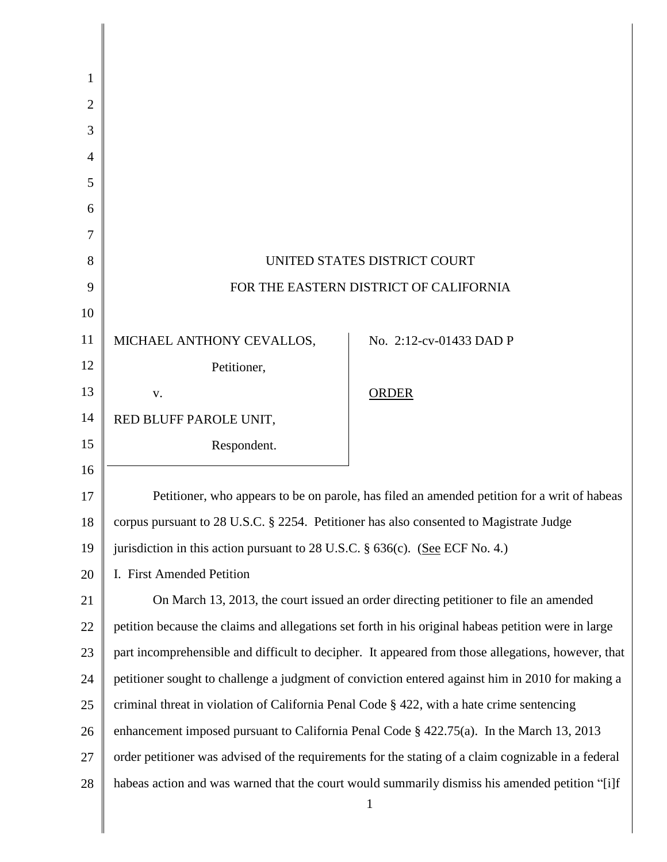| Petitioner, who appears to be on parole, has filed an amended petition for a writ of habeas         |
|-----------------------------------------------------------------------------------------------------|
|                                                                                                     |
|                                                                                                     |
|                                                                                                     |
| On March 13, 2013, the court issued an order directing petitioner to file an amended                |
| petition because the claims and allegations set forth in his original habeas petition were in large |
| part incomprehensible and difficult to decipher. It appeared from those allegations, however, that  |
| petitioner sought to challenge a judgment of conviction entered against him in 2010 for making a    |
| criminal threat in violation of California Penal Code § 422, with a hate crime sentencing           |
| enhancement imposed pursuant to California Penal Code $\S$ 422.75(a). In the March 13, 2013         |
| order petitioner was advised of the requirements for the stating of a claim cognizable in a federal |
| habeas action and was warned that the court would summarily dismiss his amended petition "[i]f      |
| corpus pursuant to 28 U.S.C. § 2254. Petitioner has also consented to Magistrate Judge              |

 $\mathsf{l}$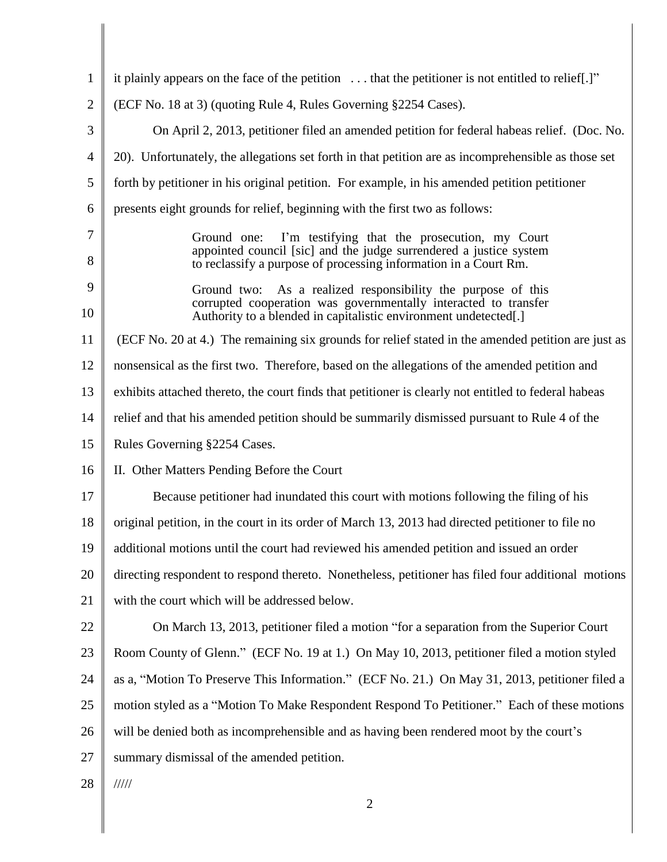| $\mathbf{1}$   | it plainly appears on the face of the petition $\dots$ that the petitioner is not entitled to relief.]"                                                                                                |
|----------------|--------------------------------------------------------------------------------------------------------------------------------------------------------------------------------------------------------|
| $\overline{2}$ | (ECF No. 18 at 3) (quoting Rule 4, Rules Governing §2254 Cases).                                                                                                                                       |
| 3              | On April 2, 2013, petitioner filed an amended petition for federal habeas relief. (Doc. No.                                                                                                            |
| $\overline{4}$ | 20). Unfortunately, the allegations set forth in that petition are as incomprehensible as those set                                                                                                    |
| 5              | forth by petitioner in his original petition. For example, in his amended petition petitioner                                                                                                          |
| 6              | presents eight grounds for relief, beginning with the first two as follows:                                                                                                                            |
| 7<br>8         | I'm testifying that the prosecution, my Court<br>Ground one:<br>appointed council [sic] and the judge surrendered a justice system<br>to reclassify a purpose of processing information in a Court Rm. |
| 9<br>10        | Ground two: As a realized responsibility the purpose of this<br>corrupted cooperation was governmentally interacted to transfer<br>Authority to a blended in capitalistic environment undetected[.]    |
| 11             | (ECF No. 20 at 4.) The remaining six grounds for relief stated in the amended petition are just as                                                                                                     |
| 12             | nonsensical as the first two. Therefore, based on the allegations of the amended petition and                                                                                                          |
| 13             | exhibits attached thereto, the court finds that petitioner is clearly not entitled to federal habeas                                                                                                   |
| 14             | relief and that his amended petition should be summarily dismissed pursuant to Rule 4 of the                                                                                                           |
| 15             | Rules Governing §2254 Cases.                                                                                                                                                                           |
| 16             | II. Other Matters Pending Before the Court                                                                                                                                                             |
| 17             | Because petitioner had inundated this court with motions following the filing of his                                                                                                                   |
| 18             | original petition, in the court in its order of March 13, 2013 had directed petitioner to file no                                                                                                      |
| 19             | additional motions until the court had reviewed his amended petition and issued an order                                                                                                               |
| 20             | directing respondent to respond thereto. Nonetheless, petitioner has filed four additional motions                                                                                                     |
| 21             | with the court which will be addressed below.                                                                                                                                                          |
| 22             | On March 13, 2013, petitioner filed a motion "for a separation from the Superior Court                                                                                                                 |
| 23             | Room County of Glenn." (ECF No. 19 at 1.) On May 10, 2013, petitioner filed a motion styled                                                                                                            |
| 24             | as a, "Motion To Preserve This Information." (ECF No. 21.) On May 31, 2013, petitioner filed a                                                                                                         |
| 25             | motion styled as a "Motion To Make Respondent Respond To Petitioner." Each of these motions                                                                                                            |
| 26             | will be denied both as incomprehensible and as having been rendered moot by the court's                                                                                                                |
| 27             | summary dismissal of the amended petition.                                                                                                                                                             |
| 28             | 11111                                                                                                                                                                                                  |
|                | 2                                                                                                                                                                                                      |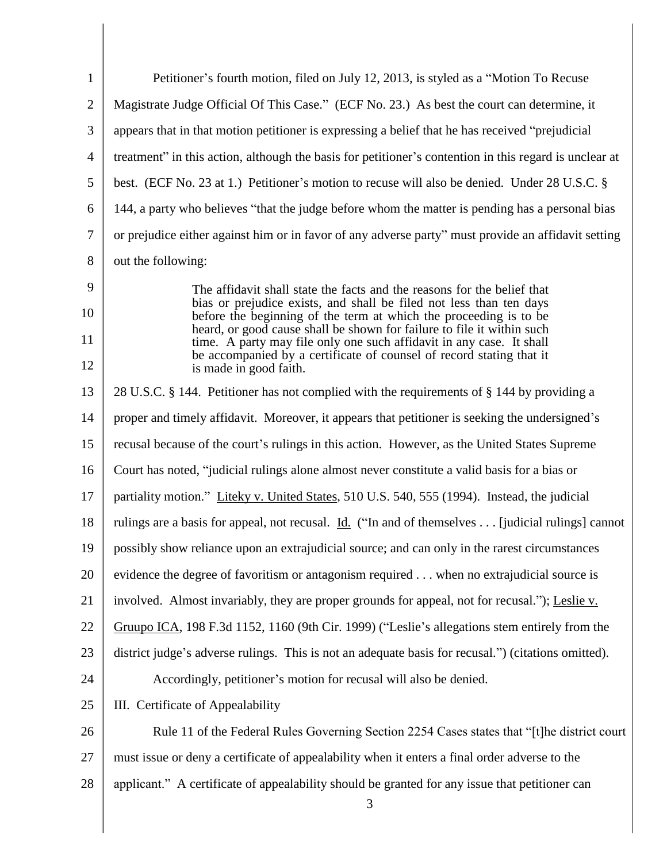| $\mathbf{1}$        | Petitioner's fourth motion, filed on July 12, 2013, is styled as a "Motion To Recuse"                                                                                                                                                                                                                                                                                                                                                                                   |
|---------------------|-------------------------------------------------------------------------------------------------------------------------------------------------------------------------------------------------------------------------------------------------------------------------------------------------------------------------------------------------------------------------------------------------------------------------------------------------------------------------|
| $\overline{2}$      | Magistrate Judge Official Of This Case." (ECF No. 23.) As best the court can determine, it                                                                                                                                                                                                                                                                                                                                                                              |
| 3                   | appears that in that motion petitioner is expressing a belief that he has received "prejudicial"                                                                                                                                                                                                                                                                                                                                                                        |
| $\overline{4}$      | treatment" in this action, although the basis for petitioner's contention in this regard is unclear at                                                                                                                                                                                                                                                                                                                                                                  |
| 5                   | best. (ECF No. 23 at 1.) Petitioner's motion to recuse will also be denied. Under 28 U.S.C. §                                                                                                                                                                                                                                                                                                                                                                           |
| 6                   | 144, a party who believes "that the judge before whom the matter is pending has a personal bias                                                                                                                                                                                                                                                                                                                                                                         |
| $\tau$              | or prejudice either against him or in favor of any adverse party" must provide an affidavit setting                                                                                                                                                                                                                                                                                                                                                                     |
| 8                   | out the following:                                                                                                                                                                                                                                                                                                                                                                                                                                                      |
| 9<br>10<br>11<br>12 | The affidavit shall state the facts and the reasons for the belief that<br>bias or prejudice exists, and shall be filed not less than ten days<br>before the beginning of the term at which the proceeding is to be<br>heard, or good cause shall be shown for failure to file it within such<br>time. A party may file only one such affidavit in any case. It shall<br>be accompanied by a certificate of counsel of record stating that it<br>is made in good faith. |
| 13                  | 28 U.S.C. § 144. Petitioner has not complied with the requirements of § 144 by providing a                                                                                                                                                                                                                                                                                                                                                                              |
| 14                  | proper and timely affidavit. Moreover, it appears that petitioner is seeking the undersigned's                                                                                                                                                                                                                                                                                                                                                                          |
| 15                  | recusal because of the court's rulings in this action. However, as the United States Supreme                                                                                                                                                                                                                                                                                                                                                                            |
| 16                  | Court has noted, "judicial rulings alone almost never constitute a valid basis for a bias or                                                                                                                                                                                                                                                                                                                                                                            |
| 17                  | partiality motion." Liteky v. United States, 510 U.S. 540, 555 (1994). Instead, the judicial                                                                                                                                                                                                                                                                                                                                                                            |
| 18                  | rulings are a basis for appeal, not recusal. Id. ("In and of themselves [judicial rulings] cannot                                                                                                                                                                                                                                                                                                                                                                       |
| 19                  | possibly show reliance upon an extrajudicial source; and can only in the rarest circumstances                                                                                                                                                                                                                                                                                                                                                                           |
| 20                  | evidence the degree of favoritism or antagonism required when no extrajudicial source is                                                                                                                                                                                                                                                                                                                                                                                |
| 21                  | involved. Almost invariably, they are proper grounds for appeal, not for recusal."); Leslie v.                                                                                                                                                                                                                                                                                                                                                                          |
| 22                  | Gruupo ICA, 198 F.3d 1152, 1160 (9th Cir. 1999) ("Leslie's allegations stem entirely from the                                                                                                                                                                                                                                                                                                                                                                           |
| 23                  | district judge's adverse rulings. This is not an adequate basis for recusal.") (citations omitted).                                                                                                                                                                                                                                                                                                                                                                     |
| 24                  | Accordingly, petitioner's motion for recusal will also be denied.                                                                                                                                                                                                                                                                                                                                                                                                       |
| 25                  | III. Certificate of Appealability                                                                                                                                                                                                                                                                                                                                                                                                                                       |
| 26                  | Rule 11 of the Federal Rules Governing Section 2254 Cases states that "[t]he district court                                                                                                                                                                                                                                                                                                                                                                             |
| 27                  | must issue or deny a certificate of appealability when it enters a final order adverse to the                                                                                                                                                                                                                                                                                                                                                                           |
| 28                  | applicant." A certificate of appealability should be granted for any issue that petitioner can<br>3                                                                                                                                                                                                                                                                                                                                                                     |